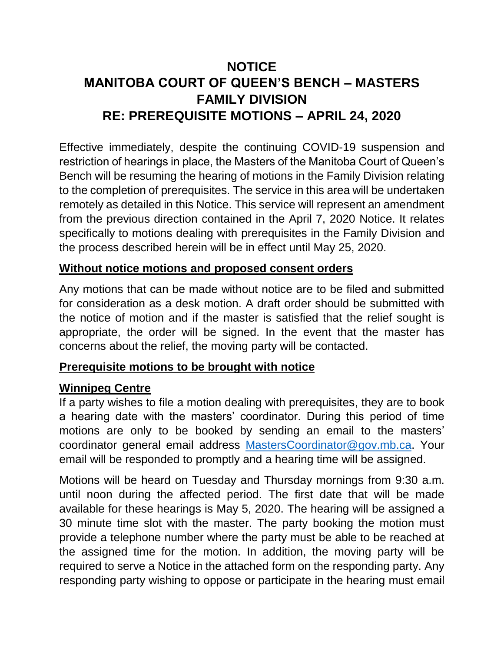# **NOTICE MANITOBA COURT OF QUEEN'S BENCH – MASTERS FAMILY DIVISION RE: PREREQUISITE MOTIONS – APRIL 24, 2020**

Effective immediately, despite the continuing COVID-19 suspension and restriction of hearings in place, the Masters of the Manitoba Court of Queen's Bench will be resuming the hearing of motions in the Family Division relating to the completion of prerequisites. The service in this area will be undertaken remotely as detailed in this Notice. This service will represent an amendment from the previous direction contained in the April 7, 2020 Notice. It relates specifically to motions dealing with prerequisites in the Family Division and the process described herein will be in effect until May 25, 2020.

## **Without notice motions and proposed consent orders**

Any motions that can be made without notice are to be filed and submitted for consideration as a desk motion. A draft order should be submitted with the notice of motion and if the master is satisfied that the relief sought is appropriate, the order will be signed. In the event that the master has concerns about the relief, the moving party will be contacted.

## **Prerequisite motions to be brought with notice**

## **Winnipeg Centre**

If a party wishes to file a motion dealing with prerequisites, they are to book a hearing date with the masters' coordinator. During this period of time motions are only to be booked by sending an email to the masters' coordinator general email address [MastersCoordinator@gov.mb.ca.](mailto:MastersCoordinator@gov.mb.ca) Your email will be responded to promptly and a hearing time will be assigned.

Motions will be heard on Tuesday and Thursday mornings from 9:30 a.m. until noon during the affected period. The first date that will be made available for these hearings is May 5, 2020. The hearing will be assigned a 30 minute time slot with the master. The party booking the motion must provide a telephone number where the party must be able to be reached at the assigned time for the motion. In addition, the moving party will be required to serve a Notice in the attached form on the responding party. Any responding party wishing to oppose or participate in the hearing must email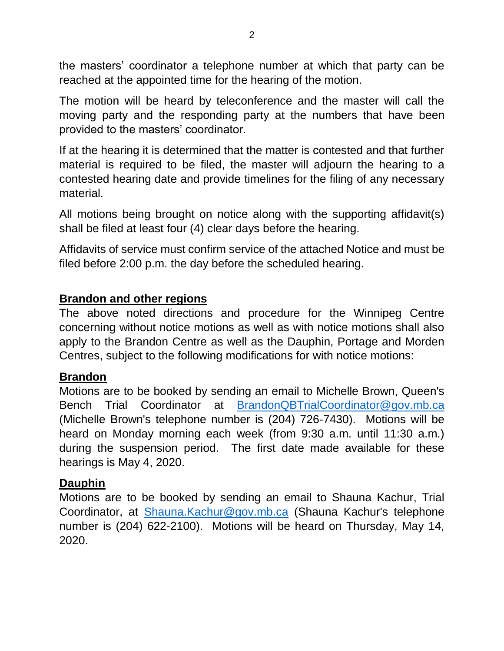the masters' coordinator a telephone number at which that party can be reached at the appointed time for the hearing of the motion.

The motion will be heard by teleconference and the master will call the moving party and the responding party at the numbers that have been provided to the masters' coordinator.

If at the hearing it is determined that the matter is contested and that further material is required to be filed, the master will adjourn the hearing to a contested hearing date and provide timelines for the filing of any necessary material.

All motions being brought on notice along with the supporting affidavit(s) shall be filed at least four (4) clear days before the hearing.

Affidavits of service must confirm service of the attached Notice and must be filed before 2:00 p.m. the day before the scheduled hearing.

## **Brandon and other regions**

The above noted directions and procedure for the Winnipeg Centre concerning without notice motions as well as with notice motions shall also apply to the Brandon Centre as well as the Dauphin, Portage and Morden Centres, subject to the following modifications for with notice motions:

## **Brandon**

Motions are to be booked by sending an email to Michelle Brown, Queen's Bench Trial Coordinator at [BrandonQBTrialCoordinator@gov.mb.ca](mailto:BrandonQBTrialCoordinator@gov.mb.ca) (Michelle Brown's telephone number is (204) 726-7430). Motions will be heard on Monday morning each week (from 9:30 a.m. until 11:30 a.m.) during the suspension period. The first date made available for these hearings is May 4, 2020.

## **Dauphin**

Motions are to be booked by sending an email to Shauna Kachur, Trial Coordinator, at [Shauna.Kachur@gov.mb.ca](mailto:Shauna.Kachur@gov.mb.ca) (Shauna Kachur's telephone number is (204) 622-2100). Motions will be heard on Thursday, May 14, 2020.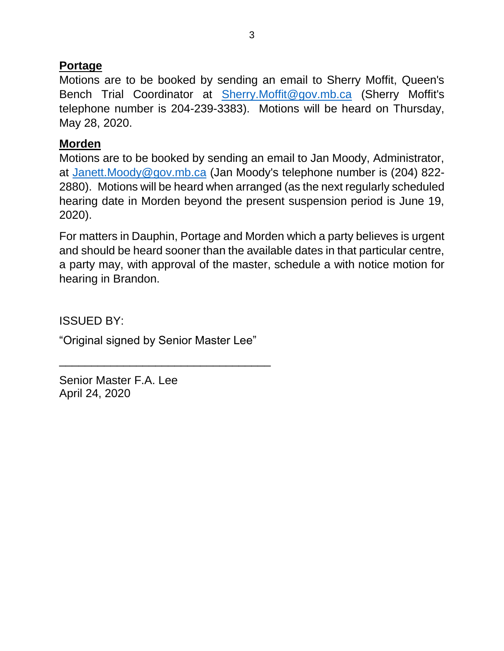## **Portage**

Motions are to be booked by sending an email to Sherry Moffit, Queen's Bench Trial Coordinator at [Sherry.Moffit@gov.mb.ca](mailto:Sherry.Moffit@gov.mb.ca) (Sherry Moffit's telephone number is 204-239-3383). Motions will be heard on Thursday, May 28, 2020.

## **Morden**

Motions are to be booked by sending an email to Jan Moody, Administrator, at [Janett.Moody@gov.mb.ca](mailto:Janett.Moody@gov.mb.ca) (Jan Moody's telephone number is (204) 822-2880). Motions will be heard when arranged (as the next regularly scheduled hearing date in Morden beyond the present suspension period is June 19, 2020).

For matters in Dauphin, Portage and Morden which a party believes is urgent and should be heard sooner than the available dates in that particular centre, a party may, with approval of the master, schedule a with notice motion for hearing in Brandon.

ISSUED BY:

"Original signed by Senior Master Lee"

\_\_\_\_\_\_\_\_\_\_\_\_\_\_\_\_\_\_\_\_\_\_\_\_\_\_\_\_\_\_\_\_\_

Senior Master F.A. Lee April 24, 2020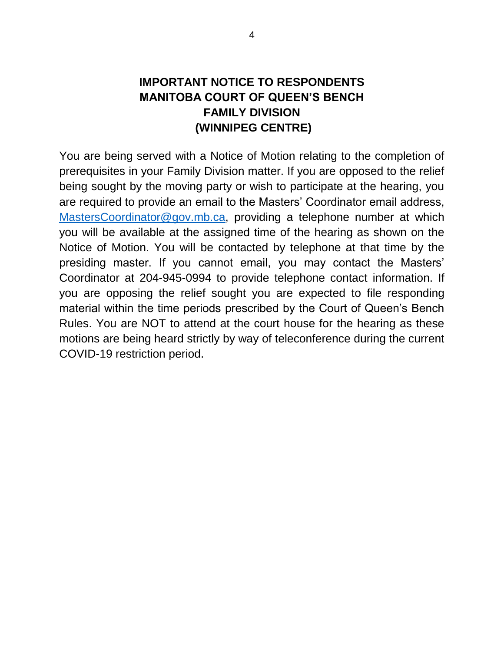## **IMPORTANT NOTICE TO RESPONDENTS MANITOBA COURT OF QUEEN'S BENCH FAMILY DIVISION (WINNIPEG CENTRE)**

You are being served with a Notice of Motion relating to the completion of prerequisites in your Family Division matter. If you are opposed to the relief being sought by the moving party or wish to participate at the hearing, you are required to provide an email to the Masters' Coordinator email address, [MastersCoordinator@gov.mb.ca,](mailto:MastersCoordinator@gov.mb.ca) providing a telephone number at which you will be available at the assigned time of the hearing as shown on the Notice of Motion. You will be contacted by telephone at that time by the presiding master. If you cannot email, you may contact the Masters' Coordinator at 204-945-0994 to provide telephone contact information. If you are opposing the relief sought you are expected to file responding material within the time periods prescribed by the Court of Queen's Bench Rules. You are NOT to attend at the court house for the hearing as these motions are being heard strictly by way of teleconference during the current COVID-19 restriction period.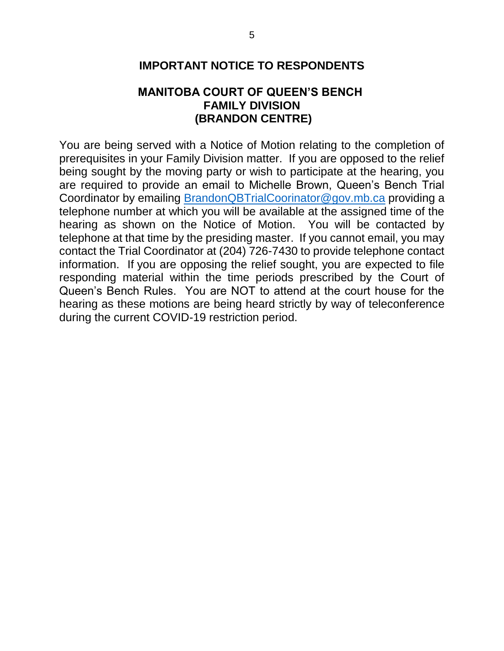## **MANITOBA COURT OF QUEEN'S BENCH FAMILY DIVISION (BRANDON CENTRE)**

You are being served with a Notice of Motion relating to the completion of prerequisites in your Family Division matter. If you are opposed to the relief being sought by the moving party or wish to participate at the hearing, you are required to provide an email to Michelle Brown, Queen's Bench Trial Coordinator by emailing [BrandonQBTrialCoorinator@gov.mb.ca](mailto:BrandonQBTrialCoorinator@gov.mb.ca) providing a telephone number at which you will be available at the assigned time of the hearing as shown on the Notice of Motion. You will be contacted by telephone at that time by the presiding master. If you cannot email, you may contact the Trial Coordinator at (204) 726-7430 to provide telephone contact information. If you are opposing the relief sought, you are expected to file responding material within the time periods prescribed by the Court of Queen's Bench Rules. You are NOT to attend at the court house for the hearing as these motions are being heard strictly by way of teleconference during the current COVID-19 restriction period.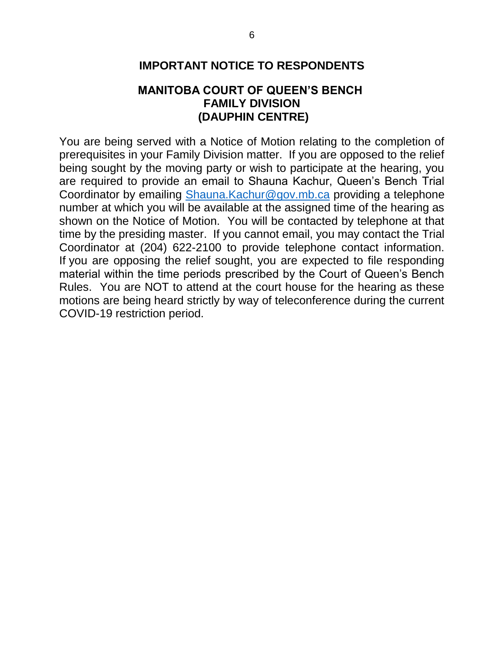## **MANITOBA COURT OF QUEEN'S BENCH FAMILY DIVISION (DAUPHIN CENTRE)**

You are being served with a Notice of Motion relating to the completion of prerequisites in your Family Division matter. If you are opposed to the relief being sought by the moving party or wish to participate at the hearing, you are required to provide an email to Shauna Kachur, Queen's Bench Trial Coordinator by emailing [Shauna.Kachur@gov.mb.ca](mailto:Shauna.Kachur@gov.mb.ca) providing a telephone number at which you will be available at the assigned time of the hearing as shown on the Notice of Motion. You will be contacted by telephone at that time by the presiding master. If you cannot email, you may contact the Trial Coordinator at (204) 622-2100 to provide telephone contact information. If you are opposing the relief sought, you are expected to file responding material within the time periods prescribed by the Court of Queen's Bench Rules. You are NOT to attend at the court house for the hearing as these motions are being heard strictly by way of teleconference during the current COVID-19 restriction period.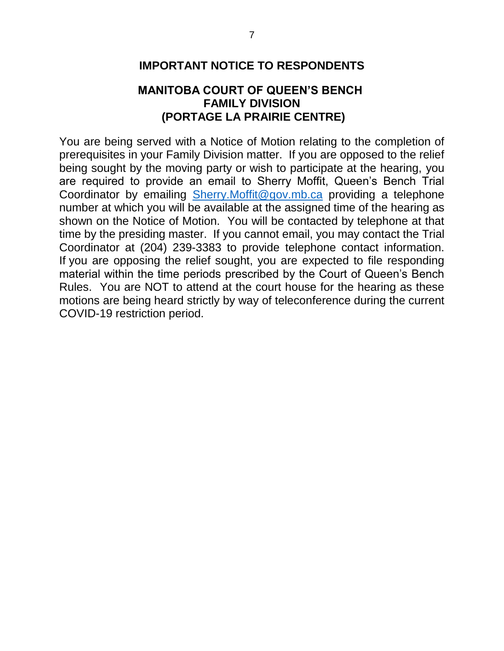## **MANITOBA COURT OF QUEEN'S BENCH FAMILY DIVISION (PORTAGE LA PRAIRIE CENTRE)**

You are being served with a Notice of Motion relating to the completion of prerequisites in your Family Division matter. If you are opposed to the relief being sought by the moving party or wish to participate at the hearing, you are required to provide an email to Sherry Moffit, Queen's Bench Trial Coordinator by emailing [Sherry.Moffit@gov.mb.ca](mailto:Sherry.Moffit@gov.mb.ca) providing a telephone number at which you will be available at the assigned time of the hearing as shown on the Notice of Motion. You will be contacted by telephone at that time by the presiding master. If you cannot email, you may contact the Trial Coordinator at (204) 239-3383 to provide telephone contact information. If you are opposing the relief sought, you are expected to file responding material within the time periods prescribed by the Court of Queen's Bench Rules. You are NOT to attend at the court house for the hearing as these motions are being heard strictly by way of teleconference during the current COVID-19 restriction period.